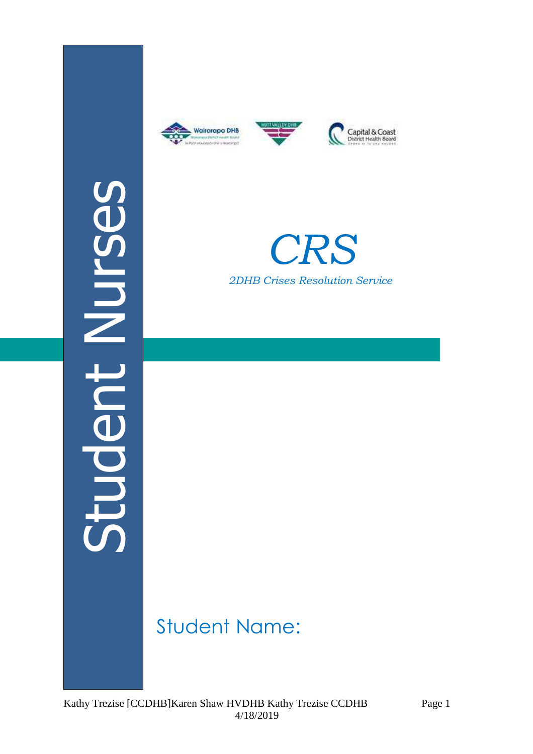







# *CRS 2DHB Crises Resolution Service*

## Student Name: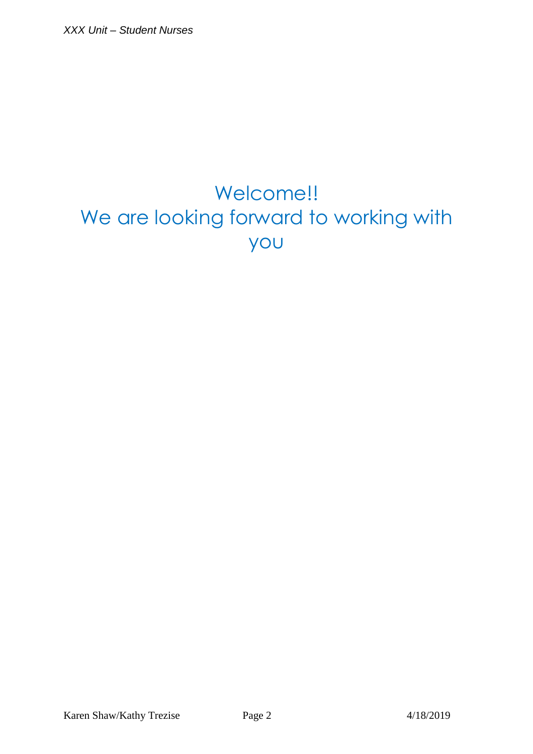## Welcome!! We are looking forward to working with you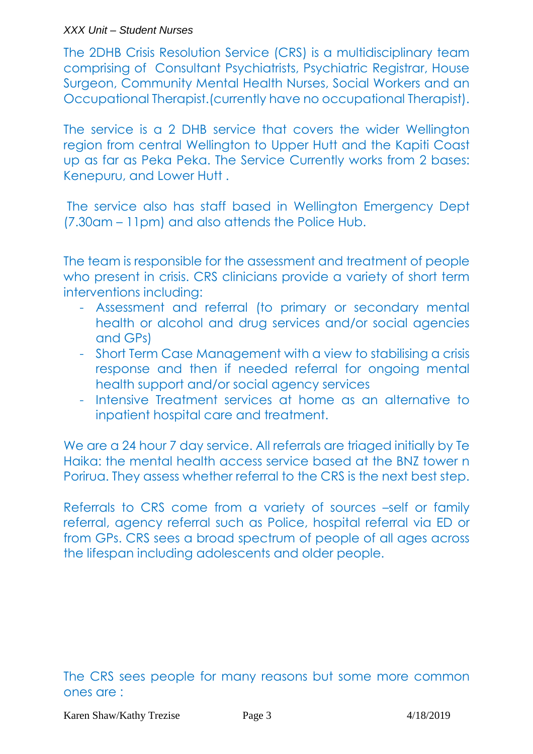#### XXX Unit – Student Nurses

The 2DHB Crisis Resolution Service (CRS) is a multidisciplinary team comprising of Consultant Psychiatrists, Psychiatric Registrar, House Surgeon, Community Mental Health Nurses, Social Workers and an Occupational Therapist.(currently have no occupational Therapist).

The service is a 2 DHB service that covers the wider Wellington region from central Wellington to Upper Hutt and the Kapiti Coast up as far as Peka Peka. The Service Currently works from 2 bases: Kenepuru, and Lower Hutt .

 The service also has staff based in Wellington Emergency Dept (7.30am – 11pm) and also attends the Police Hub.

The team is responsible for the assessment and treatment of people who present in crisis. CRS clinicians provide a variety of short term interventions including:

- Assessment and referral (to primary or secondary mental health or alcohol and drug services and/or social agencies and GPs)
- Short Term Case Management with a view to stabilising a crisis response and then if needed referral for ongoing mental health support and/or social agency services
- Intensive Treatment services at home as an alternative to inpatient hospital care and treatment.

We are a 24 hour 7 day service. All referrals are triaged initially by Te Haika: the mental health access service based at the BNZ tower n Porirua. They assess whether referral to the CRS is the next best step.

Referrals to CRS come from a variety of sources –self or family referral, agency referral such as Police, hospital referral via ED or from GPs. CRS sees a broad spectrum of people of all ages across the lifespan including adolescents and older people.

#### The CRS sees people for many reasons but some more common ones are :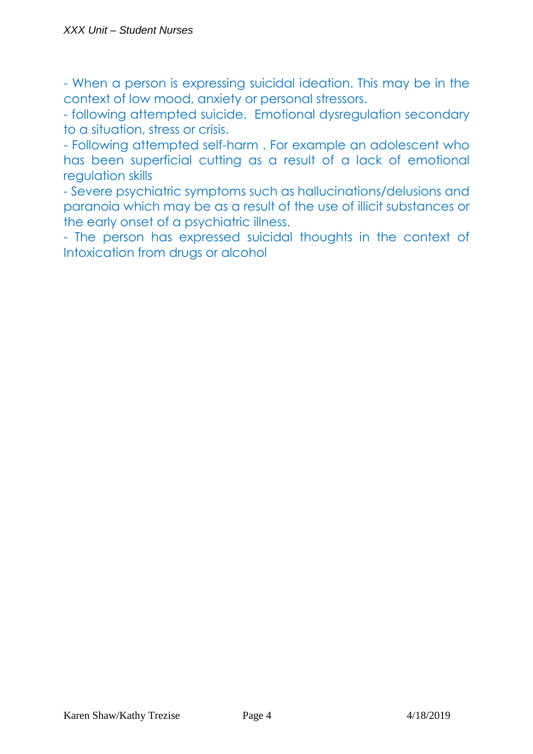- When a person is expressing suicidal ideation. This may be in the context of low mood, anxiety or personal stressors.

- following attempted suicide. Emotional dysregulation secondary to a situation, stress or crisis.

- Following attempted self-harm . For example an adolescent who has been superficial cutting as a result of a lack of emotional regulation skills

- Severe psychiatric symptoms such as hallucinations/delusions and paranoia which may be as a result of the use of illicit substances or the early onset of a psychiatric illness.

- The person has expressed suicidal thoughts in the context of Intoxication from drugs or alcohol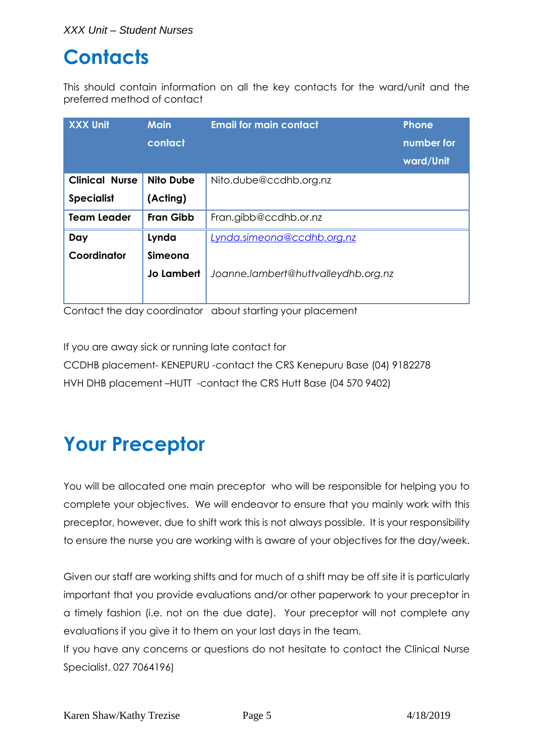#### **Contacts**

This should contain information on all the key contacts for the ward/unit and the preferred method of contact

| <b>XXX Unit</b>       | <b>Main</b><br>contact | <b>Email for main contact</b>       | <b>Phone</b><br>number for<br>ward/Unit |
|-----------------------|------------------------|-------------------------------------|-----------------------------------------|
| <b>Clinical Nurse</b> | <b>Nito Dube</b>       | Nito.dube@ccdhb.org.nz              |                                         |
| <b>Specialist</b>     | (Acting)               |                                     |                                         |
| <b>Team Leader</b>    | <b>Fran Gibb</b>       | Fran.gibb@ccdhb.or.nz               |                                         |
| Day                   | Lynda                  | Lynda.simeona@ccdhb.org.nz          |                                         |
| Coordinator           | <b>Simeona</b>         |                                     |                                         |
|                       | <b>Jo Lambert</b>      | Joanne.lambert@huttvalleydhb.org.nz |                                         |
|                       |                        |                                     |                                         |

Contact the day coordinator about starting your placement

If you are away sick or running late contact for CCDHB placement- KENEPURU -contact the CRS Kenepuru Base (04) 9182278 HVH DHB placement –HUTT -contact the CRS Hutt Base (04 570 9402)

## **Your Preceptor**

You will be allocated one main preceptor who will be responsible for helping you to complete your objectives. We will endeavor to ensure that you mainly work with this preceptor, however, due to shift work this is not always possible. It is your responsibility to ensure the nurse you are working with is aware of your objectives for the day/week.

Given our staff are working shifts and for much of a shift may be off site it is particularly important that you provide evaluations and/or other paperwork to your preceptor in a timely fashion (i.e. not on the due date). Your preceptor will not complete any evaluations if you give it to them on your last days in the team.

If you have any concerns or questions do not hesitate to contact the Clinical Nurse Specialist. 027 7064196)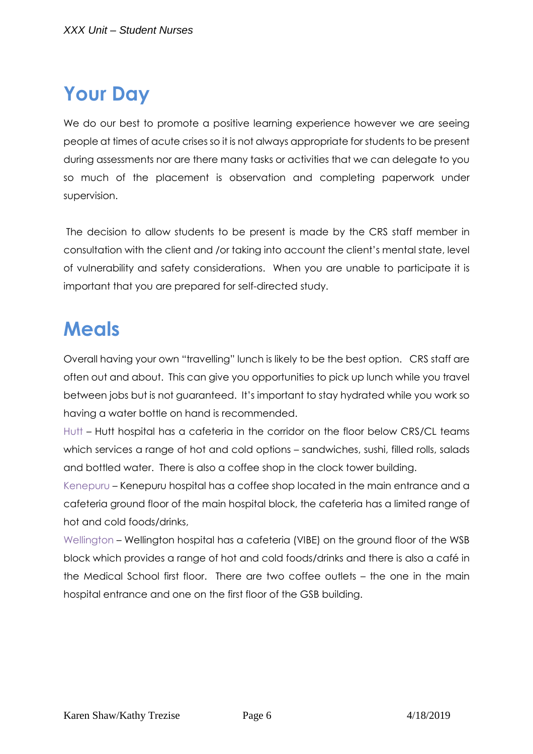## **Your Day**

We do our best to promote a positive learning experience however we are seeing people at times of acute crises so it is not always appropriate for students to be present during assessments nor are there many tasks or activities that we can delegate to you so much of the placement is observation and completing paperwork under supervision.

 The decision to allow students to be present is made by the CRS staff member in consultation with the client and /or taking into account the client's mental state, level of vulnerability and safety considerations. When you are unable to participate it is important that you are prepared for self-directed study.

#### **Meals**

Overall having your own "travelling" lunch is likely to be the best option. CRS staff are often out and about. This can give you opportunities to pick up lunch while you travel between jobs but is not guaranteed. It's important to stay hydrated while you work so having a water bottle on hand is recommended.

Hutt – Hutt hospital has a cafeteria in the corridor on the floor below CRS/CL teams which services a range of hot and cold options – sandwiches, sushi, filled rolls, salads and bottled water. There is also a coffee shop in the clock tower building.

Kenepuru – Kenepuru hospital has a coffee shop located in the main entrance and a cafeteria ground floor of the main hospital block, the cafeteria has a limited range of hot and cold foods/drinks,

Wellington – Wellington hospital has a cafeteria (VIBE) on the ground floor of the WSB block which provides a range of hot and cold foods/drinks and there is also a café in the Medical School first floor. There are two coffee outlets – the one in the main hospital entrance and one on the first floor of the GSB building.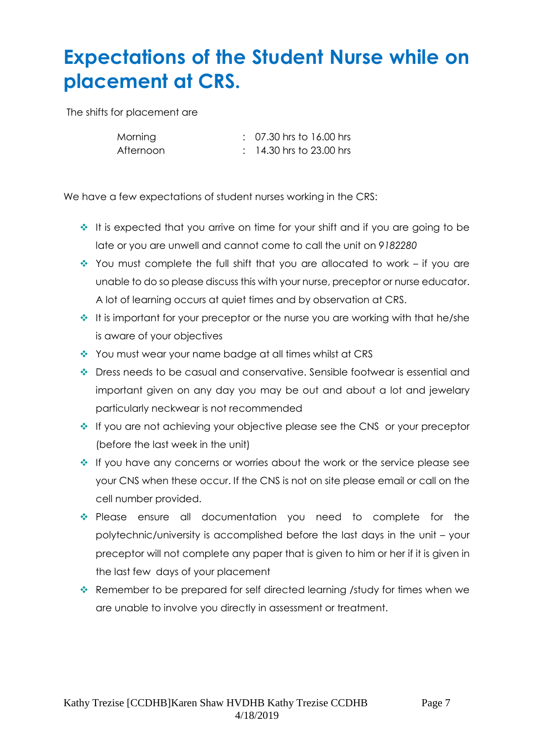## **Expectations of the Student Nurse while on placement at CRS.**

The shifts for placement are

| Morning   | $\therefore$ 07.30 hrs to 16.00 hrs |
|-----------|-------------------------------------|
| Afternoon | $: 14.30$ hrs to 23.00 hrs          |

We have a few expectations of student nurses working in the CRS:

- $\cdot$  It is expected that you arrive on time for your shift and if you are going to be late or you are unwell and cannot come to call the unit on *9182280*
- You must complete the full shift that you are allocated to work if you are unable to do so please discuss this with your nurse, preceptor or nurse educator. A lot of learning occurs at quiet times and by observation at CRS.
- $\cdot$  It is important for your preceptor or the nurse you are working with that he/she is aware of your objectives
- You must wear your name badge at all times whilst at CRS
- Dress needs to be casual and conservative. Sensible footwear is essential and important given on any day you may be out and about a lot and jewelary particularly neckwear is not recommended
- If you are not achieving your objective please see the CNS or your preceptor (before the last week in the unit)
- If you have any concerns or worries about the work or the service please see your CNS when these occur. If the CNS is not on site please email or call on the cell number provided.
- Please ensure all documentation you need to complete for the polytechnic/university is accomplished before the last days in the unit – your preceptor will not complete any paper that is given to him or her if it is given in the last few days of your placement
- \* Remember to be prepared for self directed learning /study for times when we are unable to involve you directly in assessment or treatment.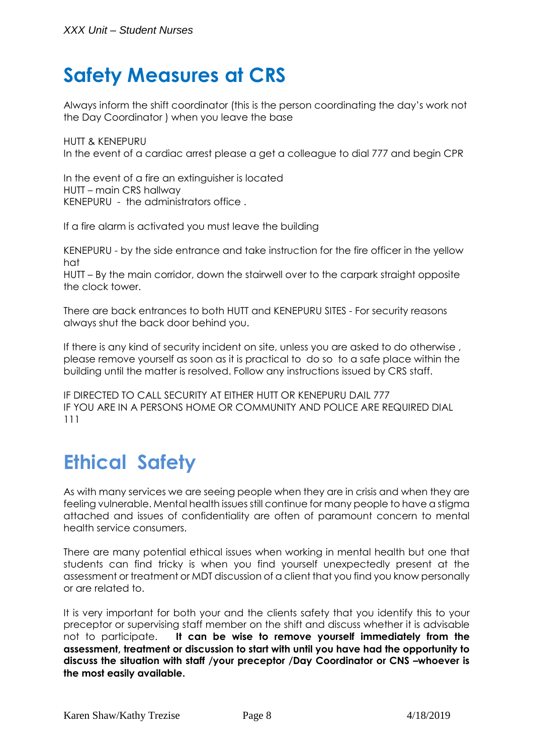### **Safety Measures at CRS**

Always inform the shift coordinator (this is the person coordinating the day's work not the Day Coordinator ) when you leave the base

HUTT & KENEPURU In the event of a cardiac arrest please a get a colleague to dial 777 and begin CPR

In the event of a fire an extinguisher is located HUTT – main CRS hallway KENEPURU - the administrators office .

If a fire alarm is activated you must leave the building

KENEPURU - by the side entrance and take instruction for the fire officer in the yellow hat

HUTT – By the main corridor, down the stairwell over to the carpark straight opposite the clock tower.

There are back entrances to both HUTT and KENEPURU SITES - For security reasons always shut the back door behind you.

If there is any kind of security incident on site, unless you are asked to do otherwise, please remove yourself as soon as it is practical to do so to a safe place within the building until the matter is resolved. Follow any instructions issued by CRS staff.

IF DIRECTED TO CALL SECURITY AT EITHER HUTT OR KENEPURU DAIL 777 IF YOU ARE IN A PERSONS HOME OR COMMUNITY AND POLICE ARE REQUIRED DIAL 111

### **Ethical Safety**

As with many services we are seeing people when they are in crisis and when they are feeling vulnerable. Mental health issues still continue for many people to have a stigma attached and issues of confidentiality are often of paramount concern to mental health service consumers.

There are many potential ethical issues when working in mental health but one that students can find tricky is when you find yourself unexpectedly present at the assessment or treatment or MDT discussion of a client that you find you know personally or are related to.

It is very important for both your and the clients safety that you identify this to your preceptor or supervising staff member on the shift and discuss whether it is advisable not to participate. **It can be wise to remove yourself immediately from the assessment, treatment or discussion to start with until you have had the opportunity to discuss the situation with staff /your preceptor /Day Coordinator or CNS –whoever is the most easily available.**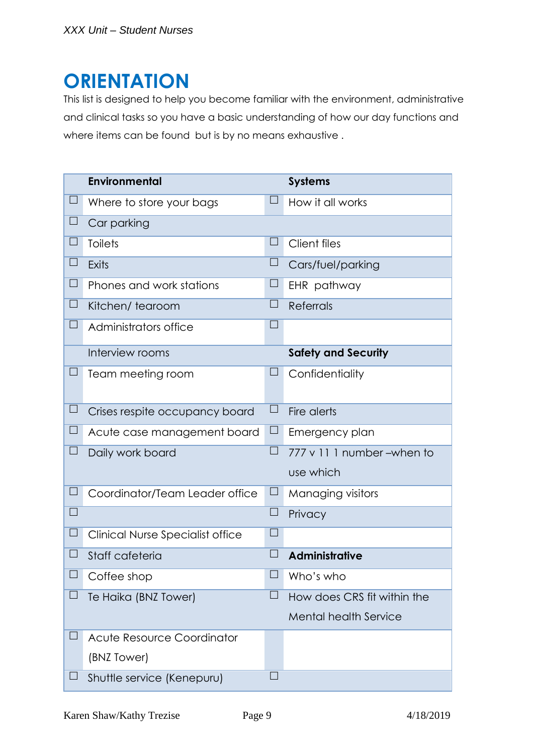#### **ORIENTATION**

This list is designed to help you become familiar with the environment, administrative and clinical tasks so you have a basic understanding of how our day functions and where items can be found but is by no means exhaustive.

|          | <b>Environmental</b>                    |          | <b>Systems</b>               |
|----------|-----------------------------------------|----------|------------------------------|
| $\Box$   | Where to store your bags                | $\Box$   | How it all works             |
| $\Box$   | Car parking                             |          |                              |
| ⊔        | <b>Toilets</b>                          | $\Box$   | <b>Client files</b>          |
| $\Box$   | <b>Exits</b>                            | $\Box$   | Cars/fuel/parking            |
| $\Box$   | Phones and work stations                | ⊔        | EHR pathway                  |
| $\Box$   | Kitchen/tearoom                         | $\Box$   | <b>Referrals</b>             |
| $\Box$   | Administrators office                   | $\Box$   |                              |
|          | Interview rooms                         |          | <b>Safety and Security</b>   |
|          | Team meeting room                       | $\sqcup$ | Confidentiality              |
| $\Box$   | Crises respite occupancy board          | $\Box$   | Fire alerts                  |
| $\Box$   | Acute case management board             | $\Box$   | Emergency plan               |
| $\sqcup$ | Daily work board                        | $\Box$   | 777 v 11 1 number - when to  |
|          |                                         |          | use which                    |
| $\Box$   | Coordinator/Team Leader office          | $\sqcup$ | Managing visitors            |
| $\Box$   |                                         | $\Box$   | Privacy                      |
| $\Box$   | <b>Clinical Nurse Specialist office</b> | $\Box$   |                              |
| ⊔        | Staff cafeteria                         | $\Box$   | <b>Administrative</b>        |
| $\Box$   | Coffee shop                             | $\Box$   | Who's who                    |
| $\Box$   | Te Haika (BNZ Tower)                    | $\Box$   | How does CRS fit within the  |
|          |                                         |          | <b>Mental health Service</b> |
|          | Acute Resource Coordinator              |          |                              |
|          | (BNZ Tower)                             |          |                              |
| $\sqcup$ | Shuttle service (Kenepuru)              |          |                              |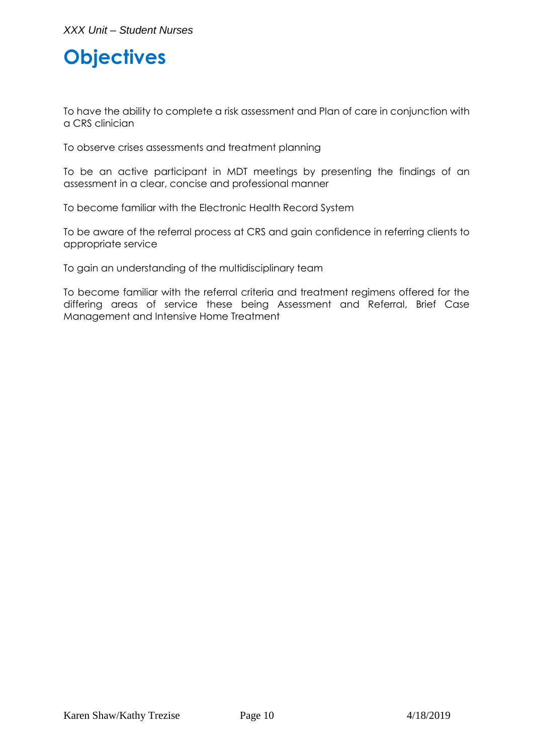## **Objectives**

To have the ability to complete a risk assessment and Plan of care in conjunction with a CRS clinician

To observe crises assessments and treatment planning

To be an active participant in MDT meetings by presenting the findings of an assessment in a clear, concise and professional manner

To become familiar with the Electronic Health Record System

To be aware of the referral process at CRS and gain confidence in referring clients to appropriate service

To gain an understanding of the multidisciplinary team

To become familiar with the referral criteria and treatment regimens offered for the differing areas of service these being Assessment and Referral, Brief Case Management and Intensive Home Treatment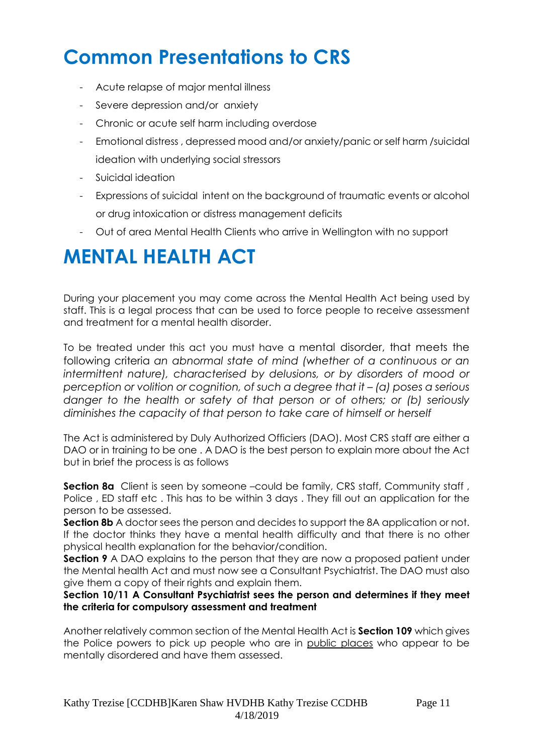## **Common Presentations to CRS**

- Acute relapse of major mental illness
- Severe depression and/or anxiety
- Chronic or acute self harm including overdose
- Emotional distress , depressed mood and/or anxiety/panic or self harm /suicidal ideation with underlying social stressors
- Suicidal ideation
- Expressions of suicidal intent on the background of traumatic events or alcohol or drug intoxication or distress management deficits
- Out of area Mental Health Clients who arrive in Wellington with no support

#### **MENTAL HEALTH ACT**

During your placement you may come across the Mental Health Act being used by staff. This is a legal process that can be used to force people to receive assessment and treatment for a mental health disorder.

To be treated under this act you must have a mental disorder, that meets the following criteria *an abnormal state of mind (whether of a continuous or an intermittent nature), characterised by delusions, or by disorders of mood or perception or volition or cognition, of such a degree that it – (a) poses a serious danger to the health or safety of that person or of others; or (b) seriously diminishes the capacity of that person to take care of himself or herself* 

The Act is administered by Duly Authorized Officiers (DAO). Most CRS staff are either a DAO or in training to be one . A DAO is the best person to explain more about the Act but in brief the process is as follows

**Section 8a** Client is seen by someone –could be family, CRS staff, Community staff, Police , ED staff etc . This has to be within 3 days . They fill out an application for the person to be assessed.

**Section 8b** A doctor sees the person and decides to support the 8A application or not. If the doctor thinks they have a mental health difficulty and that there is no other physical health explanation for the behavior/condition.

**Section 9** A DAO explains to the person that they are now a proposed patient under the Mental health Act and must now see a Consultant Psychiatrist. The DAO must also give them a copy of their rights and explain them.

**Section 10/11 A Consultant Psychiatrist sees the person and determines if they meet the criteria for compulsory assessment and treatment** 

Another relatively common section of the Mental Health Act is **Section 109** which gives the Police powers to pick up people who are in public places who appear to be mentally disordered and have them assessed.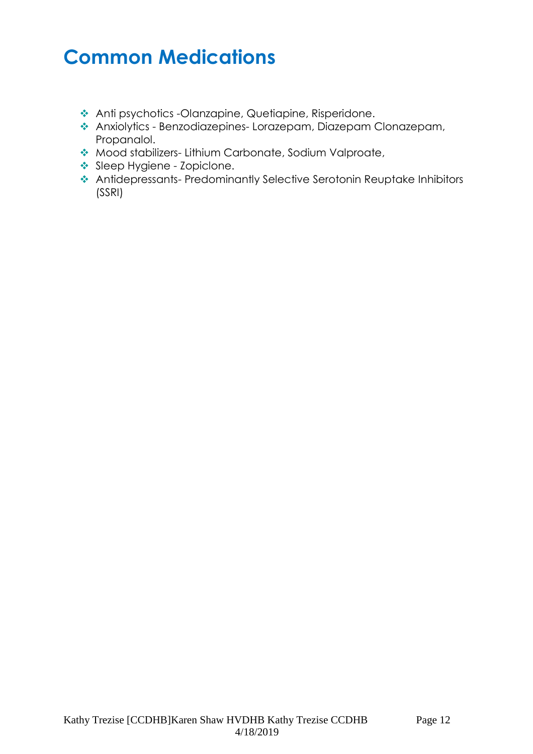### **Common Medications**

- Anti psychotics -Olanzapine, Quetiapine, Risperidone.
- Anxiolytics Benzodiazepines- Lorazepam, Diazepam Clonazepam, Propanalol.
- Mood stabilizers- Lithium Carbonate, Sodium Valproate,
- Sleep Hygiene Zopiclone.
- Antidepressants- Predominantly Selective Serotonin Reuptake Inhibitors (SSRI)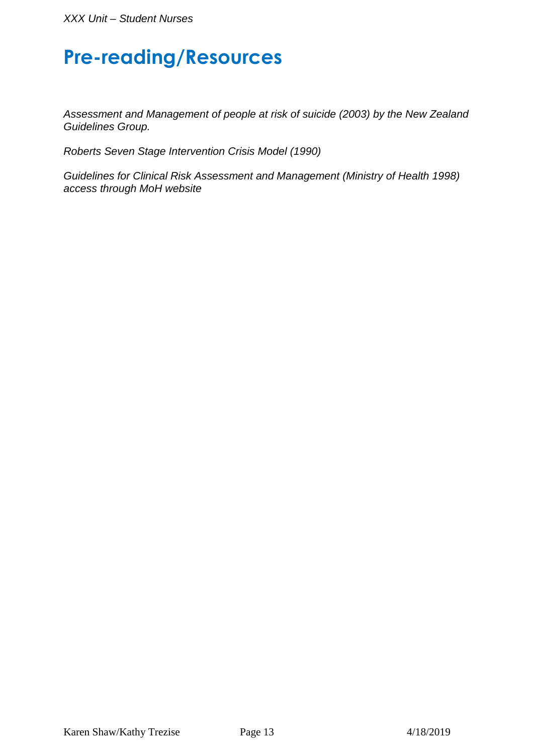#### **Pre-reading/Resources**

Assessment and Management of people at risk of suicide (2003) by the New Zealand Guidelines Group.

Roberts Seven Stage Intervention Crisis Model (1990)

Guidelines for Clinical Risk Assessment and Management (Ministry of Health 1998) access through MoH website